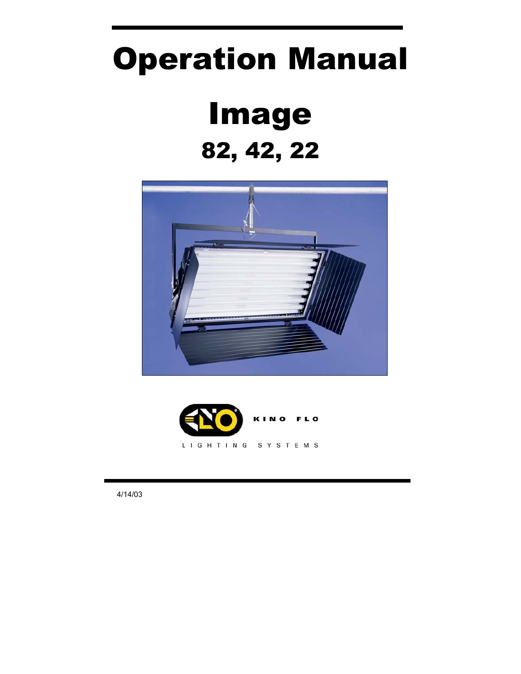# Operation Manual Image 82, 42, 22





֚֚֡֬֕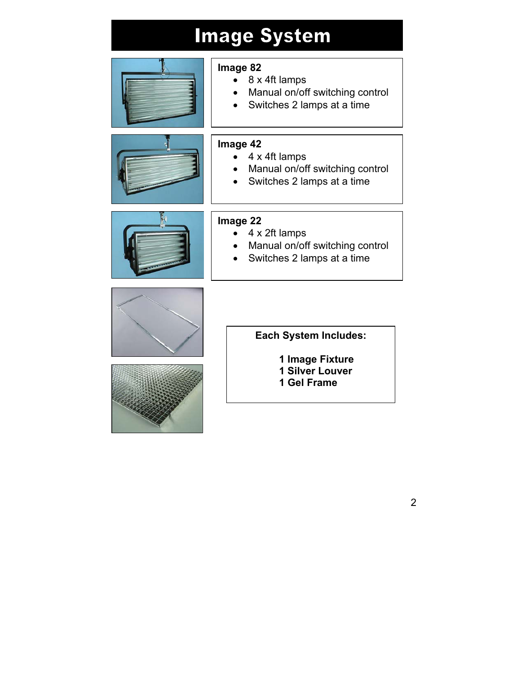# **Image System**



### **Image 82**

- 8 x 4ft lamps
- Manual on/off switching control
- Switches 2 lamps at a time



### **Image 42**

- 4 x 4ft lamps
- Manual on/off switching control
- Switches 2 lamps at a time



#### **Image 22**

- 4 x 2ft lamps
- Manual on/off switching control
- Switches 2 lamps at a time





#### **Each System Includes:**

**1 Image Fixture 1 Silver Louver 1 Gel Frame**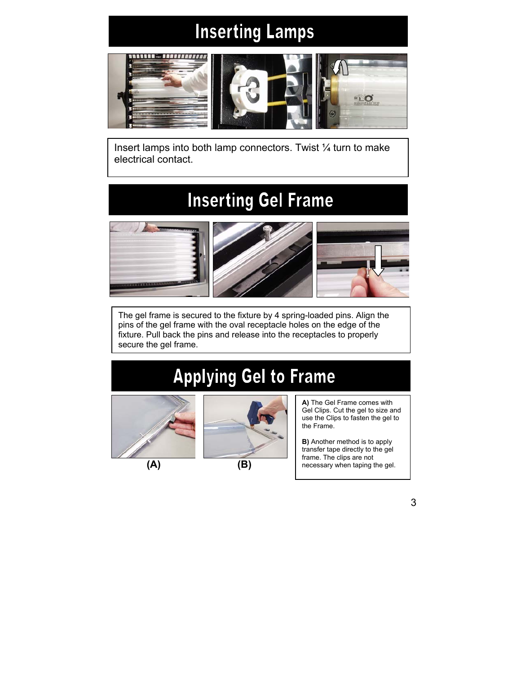# **Inserting Lamps**



Insert lamps into both lamp connectors. Twist  $\frac{1}{4}$  turn to make electrical contact.

### **Inserting Gel Frame**



The gel frame is secured to the fixture by 4 spring-loaded pins. Align the pins of the gel frame with the oval receptacle holes on the edge of the fixture. Pull back the pins and release into the receptacles to properly secure the gel frame.

# **Applying Gel to Frame**





**A)** The Gel Frame comes with Gel Clips. Cut the gel to size and use the Clips to fasten the gel to the Frame.

**B)** Another method is to apply transfer tape directly to the gel frame. The clips are not necessary when taping the gel.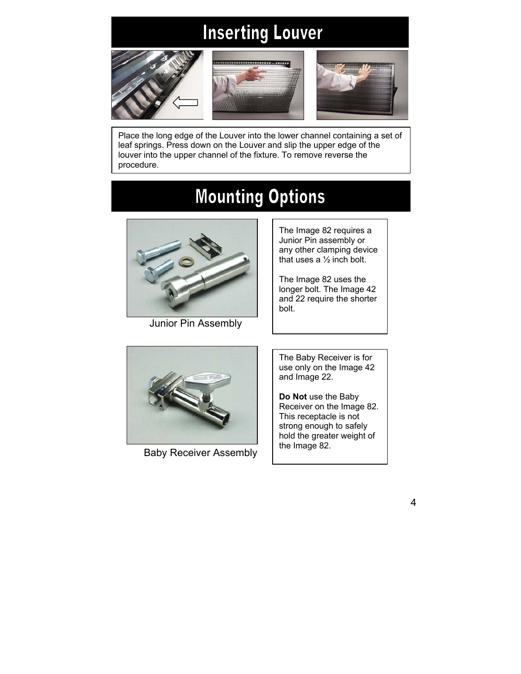# **Inserting Louver**







Place the long edge of the Louver into the lower channel containing a set of leaf springs. Press down on the Louver and slip the upper edge of the louver into the upper channel of the fixture. To remove reverse the procedure.

# **Mounting Options**



Junior Pin Assembly

The Image 82 requires a Junior Pin assembly or any other clamping device that uses a ½ inch bolt.

The Image 82 uses the longer bolt. The Image 42 and 22 require the shorter bolt.

Baby Receiver Assembly | the Image 82.

The Baby Receiver is for use only on the Image 42 and Image 22.

**Do Not** use the Baby Receiver on the Image 82. This receptacle is not strong enough to safely hold the greater weight of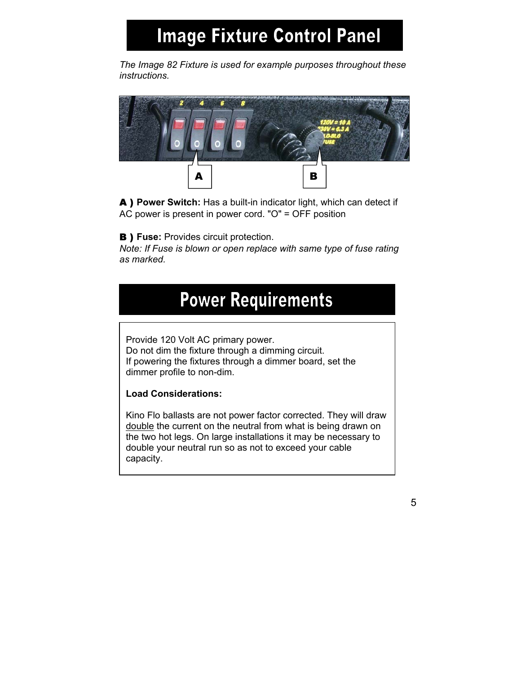# **Image Fixture Control Panel**

*The Image 82 Fixture is used for example purposes throughout these instructions.*



A ) **Power Switch:** Has a built-in indicator light, which can detect if AC power is present in power cord. "O" = OFF position

**B** ) Fuse: Provides circuit protection.

*Note: If Fuse is blown or open replace with same type of fuse rating as marked.*

### **Power Requirements**

Provide 120 Volt AC primary power. Do not dim the fixture through a dimming circuit. If powering the fixtures through a dimmer board, set the dimmer profile to non-dim.

#### **Load Considerations:**

Kino Flo ballasts are not power factor corrected. They will draw double the current on the neutral from what is being drawn on the two hot legs. On large installations it may be necessary to double your neutral run so as not to exceed your cable capacity.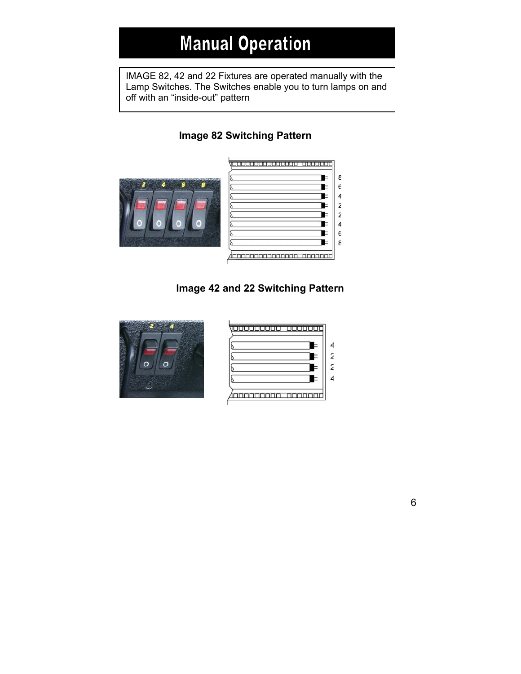### **Manual Operation**

IMAGE 82, 42 and 22 Fixtures are operated manually with the Lamp Switches. The Switches enable you to turn lamps on and off with an "inside-out" pattern

### **Image 82 Switching Pattern**





 **Image 42 and 22 Switching Pattern** 



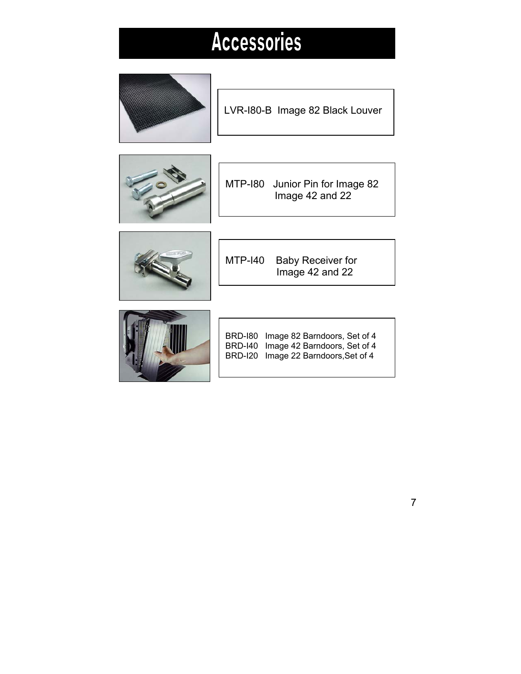# **Accessories**



LVR-I80-B Image 82 Black Louver



MTP-I80 Junior Pin for Image 82 Image 42 and 22



MTP-I40 Baby Receiver for Image 42 and 22



BRD-I80 Image 82 Barndoors, Set of 4 BRD-I40 Image 42 Barndoors, Set of 4 BRD-I20 Image 22 Barndoors,Set of 4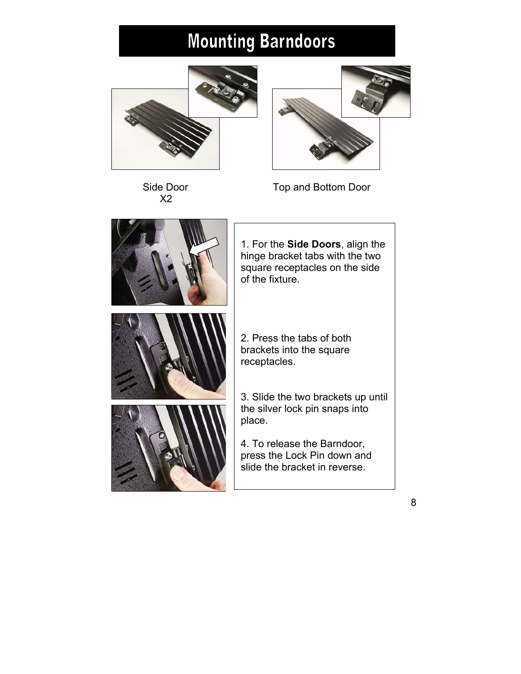# **Mounting Barndoors**





Side Door **Top and Bottom Door** 

X2



1. For the **Side Doors**, align the hinge bracket tabs with the two square receptacles on the side of the fixture.

2. Press the tabs of both brackets into the square receptacles.

3. Slide the two brackets up until the silver lock pin snaps into

4. To release the Barndoor, press the Lock Pin down and slide the bracket in reverse.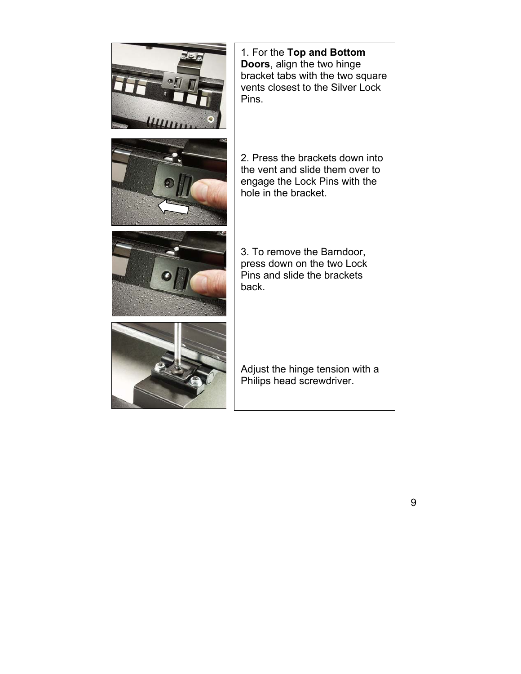

1. For the **Top and Bottom Doors**, align the two hinge bracket tabs with the two square vents closest to the Silver Lock Pins.





2. Press the brackets down into the vent and slide them over to engage the Lock Pins with the hole in the bracket.

3. To remove the Barndoor, press down on the two Lock Pins and slide the brackets back.



Adjust the hinge tension with a Philips head screwdriver.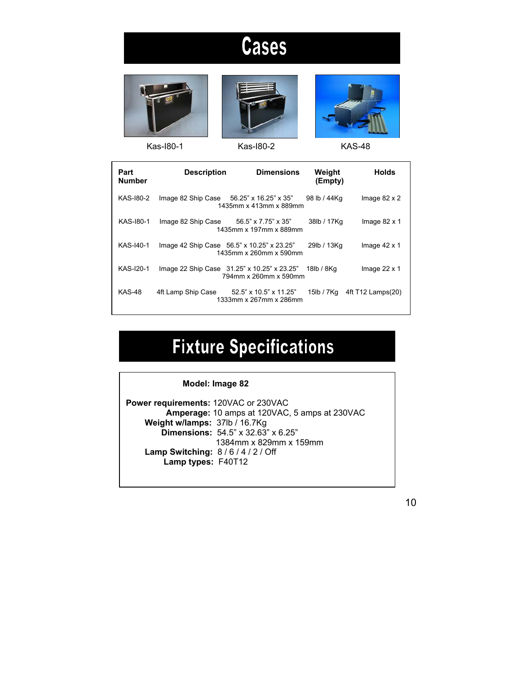# Cases







Kas-I80-1 Kas-I80-2 KAS-48



| Part<br><b>Number</b> | <b>Description</b>                         | <b>Dimensions</b>                                                    | Weight<br>(Empty) | <b>Holds</b>        |
|-----------------------|--------------------------------------------|----------------------------------------------------------------------|-------------------|---------------------|
| KAS-180-2             | Image 82 Ship Case 56.25" x 16.25" x 35"   | 1435mm x 413mm x 889mm                                               | 98 lb / 44Kg      | Image $82 \times 2$ |
| KAS-180-1             | Image 82 Ship Case 56.5" x 7.75" x 35"     | 1435mm x 197mm x 889mm                                               | 38lb / 17Kg       | Image $82 \times 1$ |
| KAS-140-1             | Image 42 Ship Case 56.5" x 10.25" x 23.25" | 1435mm x 260mm x 590mm                                               | 29lb / 13Kg       | Image $42 \times 1$ |
| KAS-120-1             |                                            | Image 22 Ship Case 31.25" x 10.25" x 23.25"<br>794mm x 260mm x 590mm | 18lb / 8Kg        | Image $22 \times 1$ |
| <b>KAS-48</b>         | 4ft Lamp Ship Case                         | $52.5$ " x $10.5$ " x $11.25$ "<br>1333mm x 267mm x 286mm            | 15lb / 7Kg        | 4ft T12 Lamps(20)   |

# **Fixture Specifications**

### **Model: Image 82 Power requirements:** 120VAC or 230VAC  **Amperage:** 10 amps at 120VAC, 5 amps at 230VAC  **Weight w/lamps:** 37lb / 16.7Kg  **Dimensions:** 54.5" x 32.63" x 6.25" 1384mm x 829mm x 159mm  **Lamp Switching:** 8 / 6 / 4 / 2 / Off  **Lamp types:** F40T12